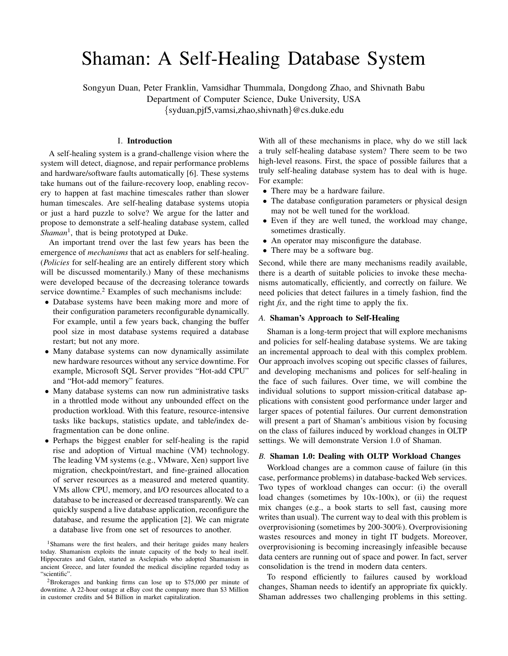# Shaman: A Self-Healing Database System

Songyun Duan, Peter Franklin, Vamsidhar Thummala, Dongdong Zhao, and Shivnath Babu Department of Computer Science, Duke University, USA {syduan,pjf5,vamsi,zhao,shivnath}@cs.duke.edu

## I. **Introduction**

A self-healing system is a grand-challenge vision where the system will detect, diagnose, and repair performance problems and hardware/software faults automatically [6]. These systems take humans out of the failure-recovery loop, enabling recovery to happen at fast machine timescales rather than slower human timescales. Are self-healing database systems utopia or just a hard puzzle to solve? We argue for the latter and propose to demonstrate a self-healing database system, called *Shaman*1, that is being prototyped at Duke.

An important trend over the last few years has been the emergence of *mechanisms* that act as enablers for self-healing. (*Policies* for self-healing are an entirely different story which will be discussed momentarily.) Many of these mechanisms were developed because of the decreasing tolerance towards service downtime.<sup>2</sup> Examples of such mechanisms include:

- Database systems have been making more and more of their configuration parameters reconfigurable dynamically. For example, until a few years back, changing the buffer pool size in most database systems required a database restart; but not any more.
- Many database systems can now dynamically assimilate new hardware resources without any service downtime. For example, Microsoft SQL Server provides "Hot-add CPU" and "Hot-add memory" features.
- Many database systems can now run administrative tasks in a throttled mode without any unbounded effect on the production workload. With this feature, resource-intensive tasks like backups, statistics update, and table/index defragmentation can be done online.
- Perhaps the biggest enabler for self-healing is the rapid rise and adoption of Virtual machine (VM) technology. The leading VM systems (e.g., VMware, Xen) support live migration, checkpoint/restart, and fine-grained allocation of server resources as a measured and metered quantity. VMs allow CPU, memory, and I/O resources allocated to a database to be increased or decreased transparently. We can quickly suspend a live database application, reconfigure the database, and resume the application [2]. We can migrate a database live from one set of resources to another.

<sup>1</sup>Shamans were the first healers, and their heritage guides many healers today. Shamanism exploits the innate capacity of the body to heal itself. Hippocrates and Galen, started as Asclepiads who adopted Shamanism in ancient Greece, and later founded the medical discipline regarded today as "scientific".

 $2B$ rokerages and banking firms can lose up to \$75,000 per minute of downtime. A 22-hour outage at eBay cost the company more than \$3 Million in customer credits and \$4 Billion in market capitalization.

With all of these mechanisms in place, why do we still lack a truly self-healing database system? There seem to be two high-level reasons. First, the space of possible failures that a truly self-healing database system has to deal with is huge. For example:

- There may be a hardware failure.
- The database configuration parameters or physical design may not be well tuned for the workload.
- Even if they are well tuned, the workload may change, sometimes drastically.
- An operator may misconfigure the database.
- There may be a software bug.

Second, while there are many mechanisms readily available, there is a dearth of suitable policies to invoke these mechanisms automatically, efficiently, and correctly on failure. We need policies that detect failures in a timely fashion, find the right *fix*, and the right time to apply the fix.

#### *A.* **Shaman's Approach to Self-Healing**

Shaman is a long-term project that will explore mechanisms and policies for self-healing database systems. We are taking an incremental approach to deal with this complex problem. Our approach involves scoping out specific classes of failures, and developing mechanisms and polices for self-healing in the face of such failures. Over time, we will combine the individual solutions to support mission-critical database applications with consistent good performance under larger and larger spaces of potential failures. Our current demonstration will present a part of Shaman's ambitious vision by focusing on the class of failures induced by workload changes in OLTP settings. We will demonstrate Version 1.0 of Shaman.

#### *B.* **Shaman 1.0: Dealing with OLTP Workload Changes**

Workload changes are a common cause of failure (in this case, performance problems) in database-backed Web services. Two types of workload changes can occur: (i) the overall load changes (sometimes by 10x-100x), or (ii) the request mix changes (e.g., a book starts to sell fast, causing more writes than usual). The current way to deal with this problem is overprovisioning (sometimes by 200-300%). Overprovisioning wastes resources and money in tight IT budgets. Moreover, overprovisioning is becoming increasingly infeasible because data centers are running out of space and power. In fact, server consolidation is the trend in modern data centers.

To respond efficiently to failures caused by workload changes, Shaman needs to identify an appropriate fix quickly. Shaman addresses two challenging problems in this setting.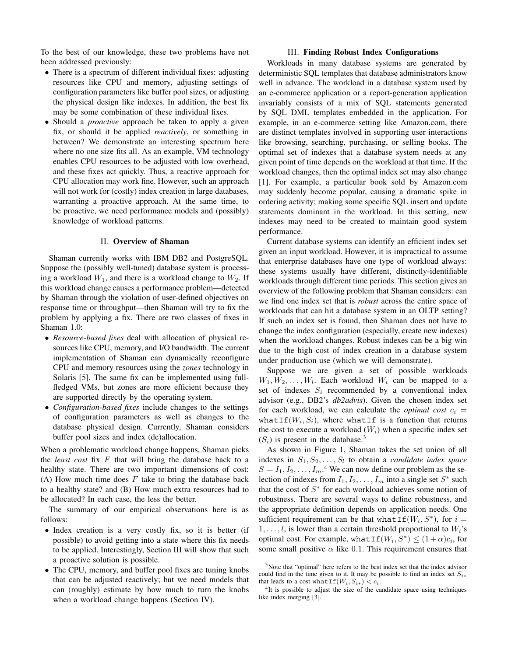To the best of our knowledge, these two problems have not been addressed previously:

- There is a spectrum of different individual fixes: adjusting resources like CPU and memory, adjusting settings of configuration parameters like buffer pool sizes, or adjusting the physical design like indexes. In addition, the best fix may be some combination of these individual fixes.
- Should a *proactive* approach be taken to apply a given fix, or should it be applied *reactively*, or something in between? We demonstrate an interesting spectrum here where no one size fits all. As an example, VM technology enables CPU resources to be adjusted with low overhead, and these fixes act quickly. Thus, a reactive approach for CPU allocation may work fine. However, such an approach will not work for (costly) index creation in large databases, warranting a proactive approach. At the same time, to be proactive, we need performance models and (possibly) knowledge of workload patterns.

#### II. **Overview of Shaman**

Shaman currently works with IBM DB2 and PostgreSQL. Suppose the (possibly well-tuned) database system is processing a workload  $W_1$ , and there is a workload change to  $W_2$ . If this workload change causes a performance problem—detected by Shaman through the violation of user-defined objectives on response time or throughput—then Shaman will try to fix the problem by applying a fix. There are two classes of fixes in Shaman 1.0:

- *Resource-based fixes* deal with allocation of physical resources like CPU, memory, and I/O bandwidth. The current implementation of Shaman can dynamically reconfigure CPU and memory resources using the *zones* technology in Solaris [5]. The same fix can be implemented using fullfledged VMs, but zones are more efficient because they are supported directly by the operating system.
- *Configuration-based fixes* include changes to the settings of configuration parameters as well as changes to the database physical design. Currently, Shaman considers buffer pool sizes and index (de)allocation.

When a problematic workload change happens, Shaman picks the *least cost* fix F that will bring the database back to a healthy state. There are two important dimensions of cost: (A) How much time does  $F$  take to bring the database back to a healthy state? and (B) How much extra resources had to be allocated? In each case, the less the better.

The summary of our empirical observations here is as follows:

- Index creation is a very costly fix, so it is better (if possible) to avoid getting into a state where this fix needs to be applied. Interestingly, Section III will show that such a proactive solution is possible.
- The CPU, memory, and buffer pool fixes are tuning knobs that can be adjusted reactively; but we need models that can (roughly) estimate by how much to turn the knobs when a workload change happens (Section IV).

#### III. **Finding Robust Index Configurations**

Workloads in many database systems are generated by deterministic SQL templates that database administrators know well in advance. The workload in a database system used by an e-commerce application or a report-generation application invariably consists of a mix of SQL statements generated by SQL DML templates embedded in the application. For example, in an e-commerce setting like Amazon.com, there are distinct templates involved in supporting user interactions like browsing, searching, purchasing, or selling books. The optimal set of indexes that a database system needs at any given point of time depends on the workload at that time. If the workload changes, then the optimal index set may also change [1]. For example, a particular book sold by Amazon.com may suddenly become popular, causing a dramatic spike in ordering activity; making some specific SQL insert and update statements dominant in the workload. In this setting, new indexes may need to be created to maintain good system performance.

Current database systems can identify an efficient index set given an input workload. However, it is impractical to assume that enterprise databases have one type of workload always: these systems usually have different, distinctly-identifiable workloads through different time periods. This section gives an overview of the following problem that Shaman considers: can we find one index set that is *robust* across the entire space of workloads that can hit a database system in an OLTP setting? If such an index set is found, then Shaman does not have to change the index configuration (especially, create new indexes) when the workload changes. Robust indexes can be a big win due to the high cost of index creation in a database system under production use (which we will demonstrate).

Suppose we are given a set of possible workloads  $W_1, W_2, \ldots, W_l$ . Each workload  $W_i$  can be mapped to a set of indexes  $S_i$  recommended by a conventional index advisor (e.g., DB2's *db2advis*). Given the chosen index set for each workload, we can calculate the *optimal cost*  $c_i$ whatIf( $W_i$ ,  $S_i$ ), where whatIf is a function that returns the cost to execute a workload  $(W_i)$  when a specific index set  $(S_i)$  is present in the database.<sup>3</sup>

As shown in Figure 1, Shaman takes the set union of all indexes in  $S_1, S_2, \ldots, S_l$  to obtain a *candidate index space*  $S = I_1, I_2, \ldots, I_m$ .<sup>4</sup> We can now define our problem as the selection of indexes from  $I_1, I_2, \ldots, I_m$  into a single set  $S^*$  such that the cost of  $S<sup>*</sup>$  for each workload achieves some notion of robustness. There are several ways to define robustness, and the appropriate definition depends on application needs. One sufficient requirement can be that what  $\text{If}(W_i, S^*)$ , for  $i =$  $1, \ldots, l$ , is lower than a certain threshold proportional to  $W_i$ 's optimal cost. For example, what  $\text{If}(W_i, S^*) \leq (1+\alpha)c_i$ , for some small positive  $\alpha$  like 0.1. This requirement ensures that

 $3$ Note that "optimal" here refers to the best index set that the index advisor could find in the time given to it. It may be possible to find an index set  $S_{i*}$  that leads to a cost what  $\text{If}(W_i, S_{i*}) < c_i$ .

<sup>&</sup>lt;sup>4</sup>It is possible to adjust the size of the candidate space using techniques like index merging [3].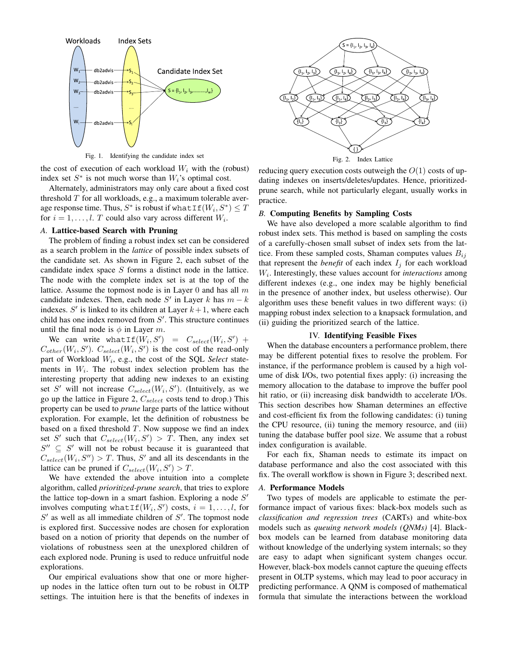

Fig. 1. Identifying the candidate index set

the cost of execution of each workload  $W_i$  with the (robust) index set  $S^*$  is not much worse than  $W_i$ 's optimal cost.

Alternately, administrators may only care about a fixed cost threshold  $T$  for all workloads, e.g., a maximum tolerable average response time. Thus, S<sup>\*</sup> is robust if what  $\text{If}(W_i, S^*) \leq T$ for  $i = 1, \ldots, l$ . T could also vary across different  $W_i$ .

## *A.* **Lattice-based Search with Pruning**

The problem of finding a robust index set can be considered as a search problem in the *lattice* of possible index subsets of the candidate set. As shown in Figure 2, each subset of the candidate index space S forms a distinct node in the lattice. The node with the complete index set is at the top of the lattice. Assume the topmost node is in Layer 0 and has all  $m$ candidate indexes. Then, each node  $S'$  in Layer k has  $m - k$ indexes. S' is linked to its children at Layer  $k+1$ , where each child has one index removed from  $S'$ . This structure continues until the final node is  $\phi$  in Layer m.

We can write  $\text{whatIf}(W_i, S') = C_{select}(W_i, S') +$  $C_{other}(W_i, S')$ .  $C_{select}(W_i, S')$  is the cost of the read-only part of Workload W*i*, e.g., the cost of the SQL *Select* statements in W*i*. The robust index selection problem has the interesting property that adding new indexes to an existing set  $S'$  will not increase  $C_{select}(W_i, S')$ . (Intuitively, as we go up the lattice in Figure 2, C*select* costs tend to drop.) This property can be used to *prune* large parts of the lattice without exploration. For example, let the definition of robustness be based on a fixed threshold  $T$ . Now suppose we find an index set S' such that  $C_{select}(W_i, S') > T$ . Then, any index set  $S'' \subseteq S'$  will not be robust because it is guaranteed that  $C_{select}(W_i, S'') > T$ . Thus, S' and all its descendants in the lattice can be pruned if  $C_{select}(W_i, S') > T$ .

We have extended the above intuition into a complete algorithm, called *prioritized-prune search*, that tries to explore the lattice top-down in a smart fashion. Exploring a node  $S'$ involves computing whatIf $(W_i, S')$  costs,  $i = 1, \ldots, l$ , for  $S'$  as well as all immediate children of  $S'$ . The topmost node is explored first. Successive nodes are chosen for exploration based on a notion of priority that depends on the number of violations of robustness seen at the unexplored children of each explored node. Pruning is used to reduce unfruitful node explorations.

Our empirical evaluations show that one or more higherup nodes in the lattice often turn out to be robust in OLTP settings. The intuition here is that the benefits of indexes in



Fig. 2. Index Lattice

reducing query execution costs outweigh the  $O(1)$  costs of updating indexes on inserts/deletes/updates. Hence, prioritizedprune search, while not particularly elegant, usually works in practice.

## *B.* **Computing Benefits by Sampling Costs**

We have also developed a more scalable algorithm to find robust index sets. This method is based on sampling the costs of a carefully-chosen small subset of index sets from the lattice. From these sampled costs, Shaman computes values  $B_{ij}$ that represent the *benefit* of each index  $I_j$  for each workload W*i*. Interestingly, these values account for *interactions* among different indexes (e.g., one index may be highly beneficial in the presence of another index, but useless otherwise). Our algorithm uses these benefit values in two different ways: (i) mapping robust index selection to a knapsack formulation, and (ii) guiding the prioritized search of the lattice.

## IV. **Identifying Feasible Fixes**

When the database encounters a performance problem, there may be different potential fixes to resolve the problem. For instance, if the performance problem is caused by a high volume of disk I/Os, two potential fixes apply: (i) increasing the memory allocation to the database to improve the buffer pool hit ratio, or (ii) increasing disk bandwidth to accelerate I/Os. This section describes how Shaman determines an effective and cost-efficient fix from the following candidates: (i) tuning the CPU resource, (ii) tuning the memory resource, and (iii) tuning the database buffer pool size. We assume that a robust index configuration is available.

For each fix, Shaman needs to estimate its impact on database performance and also the cost associated with this fix. The overall workflow is shown in Figure 3; described next.

## *A.* **Performance Models**

Two types of models are applicable to estimate the performance impact of various fixes: black-box models such as *classification and regression trees* (CARTs) and white-box models such as *queuing network models (QNMs)* [4]. Blackbox models can be learned from database monitoring data without knowledge of the underlying system internals; so they are easy to adapt when significant system changes occur. However, black-box models cannot capture the queuing effects present in OLTP systems, which may lead to poor accuracy in predicting performance. A QNM is composed of mathematical formula that simulate the interactions between the workload